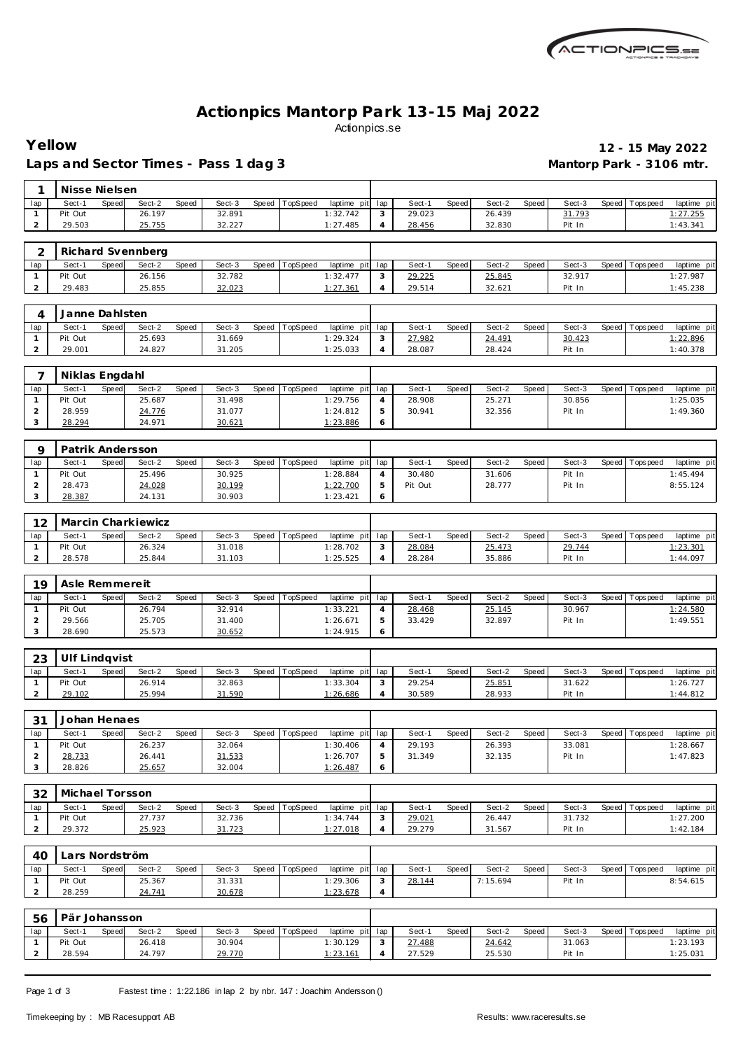

## **Actionpics Mantorp Park 13-15 Maj 2022** Actionpics.se

Laps and Sector Times - Pass 1 dag 3 **Mantorp Park - 3106 mtr.** 

**Yellow 12 - 15 May 2022**

| 1                              | Nisse Nielsen        |       |                    |       |                  |       |          |                         |                     |                  |       |                  |       |                  |       |                   |                         |
|--------------------------------|----------------------|-------|--------------------|-------|------------------|-------|----------|-------------------------|---------------------|------------------|-------|------------------|-------|------------------|-------|-------------------|-------------------------|
| lap                            | Sect-1               | Speed | Sect-2             | Speed | Sect-3           | Speed | TopSpeed | laptime pit             | lap                 | Sect-1           | Speed | Sect-2           | Speed | Sect-3           | Speed | Tops peed         | laptime pit             |
| $\mathbf{1}$                   | Pit Out              |       | 26.197             |       | 32.891           |       |          | 1:32.742                | 3                   | 29.023           |       | 26.439           |       | 31.793           |       |                   | 1: 27.255               |
| $\overline{2}$                 | 29.503               |       | 25.755             |       | 32.227           |       |          | 1:27.485                | 4                   | 28.456           |       | 32.830           |       | Pit In           |       |                   | 1:43.341                |
|                                |                      |       |                    |       |                  |       |          |                         |                     |                  |       |                  |       |                  |       |                   |                         |
| 2                              |                      |       | Richard Svennberg  |       |                  |       |          |                         |                     |                  |       |                  |       |                  |       |                   |                         |
| lap                            | Sect-1               | Speed | Sect-2             | Speed | Sect-3           | Speed | TopSpeed | laptime pit             | lap                 | Sect-1           | Speed | Sect-2           | Speed | Sect-3           |       | Speed   Topspeed  | laptime pit             |
| $\mathbf{1}$                   | Pit Out              |       | 26.156             |       | 32.782           |       |          | 1:32.477                | 3                   | 29.225           |       | 25.845           |       | 32.917           |       |                   | 1:27.987                |
| $\overline{2}$                 | 29.483               |       | 25.855             |       | 32.023           |       |          | 1:27.361                | 4                   | 29.514           |       | 32.621           |       | Pit In           |       |                   | 1:45.238                |
|                                |                      |       |                    |       |                  |       |          |                         |                     |                  |       |                  |       |                  |       |                   |                         |
| 4                              | Janne Dahlsten       |       |                    |       |                  |       |          |                         |                     |                  |       |                  |       |                  |       |                   |                         |
| lap                            | Sect-1               | Speed | Sect-2             | Speed | Sect-3           | Speed | TopSpeed | laptime pit             | lap                 | Sect-1           | Speed | Sect-2           | Speed | Sect-3           |       | Speed Topspeed    | laptime pit             |
| $\mathbf{1}$                   | Pit Out              |       | 25.693             |       | 31.669           |       |          | 1:29.324                | 3                   | 27.982           |       | 24.491           |       | 30.423           |       |                   | 1:22.896                |
| $\overline{a}$                 | 29.001               |       | 24.827             |       | 31.205           |       |          | 1:25.033                | $\overline{4}$      | 28.087           |       | 28.424           |       | Pit In           |       |                   | 1:40.378                |
|                                |                      |       |                    |       |                  |       |          |                         |                     |                  |       |                  |       |                  |       |                   |                         |
|                                | 7<br>Niklas Engdahl  |       |                    |       |                  |       |          |                         |                     |                  |       |                  |       |                  |       |                   |                         |
| lap                            | Sect-1               | Speed | Sect-2             | Speed | Sect-3           | Speed | TopSpeed | laptime pit             | lap                 | Sect-1           | Speed | Sect-2           | Speed | Sect-3           | Speed | T ops pee d       | laptime pit             |
| $\mathbf{1}$                   | Pit Out              |       | 25.687             |       | 31.498           |       |          | 1:29.756                | 4                   | 28.908           |       | 25.271           |       | 30.856           |       |                   | 1:25.035                |
| $\overline{2}$                 | 28.959               |       | 24.776             |       | 31.077           |       |          | 1:24.812                | 5                   | 30.941           |       | 32.356           |       | Pit In           |       |                   | 1:49.360                |
| 3                              | 28.294               |       | 24.971             |       | 30.621           |       |          | 1:23.886                | 6                   |                  |       |                  |       |                  |       |                   |                         |
|                                |                      |       |                    |       |                  |       |          |                         |                     |                  |       |                  |       |                  |       |                   |                         |
| 9                              | Patrik Andersson     |       |                    |       |                  |       |          |                         |                     |                  |       |                  |       |                  |       |                   |                         |
| lap                            | Sect-1               | Speed | Sect-2             | Speed | Sect-3           | Speed | TopSpeed | laptime pit             | lap                 | Sect-1           | Speed | Sect-2           | Speed | Sect-3           |       | Speed Topspeed    | laptime pit             |
| $\mathbf{1}$                   | Pit Out              |       | 25.496             |       | 30.925           |       |          | 1:28.884                | 4                   | 30.480           |       | 31.606           |       | Pit In           |       |                   | 1:45.494                |
| $\overline{2}$                 | 28.473               |       | 24.028             |       | 30.199           |       |          | 1:22.700                | 5                   | Pit Out          |       | 28.777           |       | Pit In           |       |                   | 8:55.124                |
| 3                              | 28.387               |       | 24.131             |       | 30.903           |       |          | 1:23.421                | 6                   |                  |       |                  |       |                  |       |                   |                         |
|                                |                      |       |                    |       |                  |       |          |                         |                     |                  |       |                  |       |                  |       |                   |                         |
| 12                             |                      |       | Marcin Charkiewicz |       |                  |       |          |                         |                     |                  |       |                  |       |                  |       |                   |                         |
|                                |                      |       |                    |       |                  |       |          |                         |                     |                  |       |                  |       |                  |       |                   |                         |
| lap                            | Sect-1<br>Pit Out    | Speed | Sect-2             | Speed | Sect-3           | Speed | TopSpeed | laptime pit             | lap                 | Sect-1           | Speed | Sect-2           | Speed | Sect-3           |       | Speed Tops peed   | laptime pit             |
| $\mathbf{1}$<br>$\overline{a}$ |                      |       | 26.324             |       | 31.018           |       |          | 1:28.702                | 3<br>$\overline{4}$ | 28.084<br>28.284 |       | 25.473<br>35.886 |       | 29.744           |       |                   | 1:23.301<br>1:44.097    |
|                                | 28.578               |       | 25.844             |       | 31.103           |       |          | 1:25.525                |                     |                  |       |                  |       | Pit In           |       |                   |                         |
|                                |                      |       |                    |       |                  |       |          |                         |                     |                  |       |                  |       |                  |       |                   |                         |
|                                |                      |       |                    |       |                  |       |          |                         |                     |                  |       |                  |       |                  |       |                   |                         |
| 19                             | Asle Remmereit       |       |                    |       |                  |       |          |                         |                     |                  |       |                  |       |                  |       |                   |                         |
| lap                            | Sect-1               | Speed | Sect-2             | Speed | Sect-3           | Speed | TopSpeed | laptime pit             | lap                 | Sect-1           | Speed | Sect-2           | Speed | Sect-3           |       | Speed   Topspeed  | laptime pit             |
| $\mathbf{1}$                   | Pit Out              |       | 26.794             |       | 32.914           |       |          | 1:33.221                | 4                   | 28.468           |       | 25.145           |       | 30.967           |       |                   | 1:24.580                |
| $\overline{2}$                 | 29.566               |       | 25.705             |       | 31.400           |       |          | 1:26.671                | 5                   | 33.429           |       | 32.897           |       | Pit In           |       |                   | 1:49.551                |
| 3                              | 28.690               |       | 25.573             |       | 30.652           |       |          | 1:24.915                | 6                   |                  |       |                  |       |                  |       |                   |                         |
|                                |                      |       |                    |       |                  |       |          |                         |                     |                  |       |                  |       |                  |       |                   |                         |
| 23                             | <b>Ulf Lindqvist</b> |       |                    |       |                  |       |          |                         |                     |                  |       |                  |       |                  |       |                   |                         |
| lap                            | Sect-1               | Speed | Sect-2             | Speed | Sect-3           | Speed | TopSpeed | laptime pit             | lap                 | Sect-1           | Speed | Sect-2           | Speed | Sect-3           |       | Speed   Tops peed | laptime pit             |
| $\mathbf{1}$                   | Pit Out              |       | 26.914             |       | 32.863           |       |          | 1:33.304                | 3                   | 29.254           |       | 25.851           |       | 31.622           |       |                   | 1:26.727                |
| $\overline{a}$                 | 29.102               |       | 25.994             |       | 31.590           |       |          | 1:26.686                | $\overline{4}$      | 30.589           |       | 28.933           |       | Pit In           |       |                   | 1:44.812                |
|                                |                      |       |                    |       |                  |       |          |                         |                     |                  |       |                  |       |                  |       |                   |                         |
| 31                             | Johan Henaes         |       |                    |       |                  |       |          |                         |                     |                  |       |                  |       |                  |       |                   |                         |
| lap                            | Sect-1               | Speed | Sect-2             | Speed | Sect-3           | Speed | TopSpeed | laptime pit             | lap                 | Sect-1           | Speed | Sect-2           | Speed | Sect-3           | Speed | T ops pee d       | laptime pit             |
| $\mathbf{1}$                   | Pit Out              |       | 26.237             |       | 32.064           |       |          | 1:30.406                | 4                   | 29.193           |       | 26.393           |       | 33.081           |       |                   | 1:28.667                |
| $\overline{2}$                 | 28.733               |       | 26.441             |       | 31.533           |       |          | 1:26.707                | 5                   | 31.349           |       | 32.135           |       | Pit In           |       |                   | 1:47.823                |
| 3                              | 28.826               |       | 25.657             |       | 32.004           |       |          | 1:26.487                | 6                   |                  |       |                  |       |                  |       |                   |                         |
|                                |                      |       |                    |       |                  |       |          |                         |                     |                  |       |                  |       |                  |       |                   |                         |
| 32                             | Michael Torsson      |       |                    |       |                  |       |          |                         |                     |                  |       |                  |       |                  |       |                   |                         |
| lap                            | Sect-1               | Speed | Sect-2             | Speed | Sect-3           | Speed | TopSpeed | laptime pit             | lap                 | Sect-1           | Speed | Sect-2           | Speed | Sect-3           |       | Speed Topspeed    | laptime pit             |
| $\mathbf{1}$                   | Pit Out              |       | 27.737             |       | 32.736           |       |          | 1:34.744                | 3                   | 29.021           |       | 26.447           |       | 31.732           |       |                   | 1:27.200                |
| $\overline{a}$                 | 29.372               |       | 25.923             |       | 31.723           |       |          | 1:27.018                | 4                   | 29.279           |       | 31.567           |       | Pit In           |       |                   | 1:42.184                |
|                                |                      |       |                    |       |                  |       |          |                         |                     |                  |       |                  |       |                  |       |                   |                         |
| 40                             | Lars Nordström       |       |                    |       |                  |       |          |                         |                     |                  |       |                  |       |                  |       |                   |                         |
| lap                            | Sect-1               | Speed | Sect-2             | Speed | Sect-3           | Speed | TopSpeed | laptime pit             | lap                 | Sect-1           | Speed | Sect-2           | Speed | Sect-3           |       | Speed   Tops peed | laptime pit             |
| $\mathbf{1}$                   | Pit Out              |       | 25.367             |       | 31.331           |       |          | 1:29.306                | 3                   | 28.144           |       | 7:15.694         |       | Pit In           |       |                   | 8:54.615                |
| $\overline{a}$                 | 28.259               |       | 24.741             |       | 30.678           |       |          | 1:23.678                | 4                   |                  |       |                  |       |                  |       |                   |                         |
|                                |                      |       |                    |       |                  |       |          |                         |                     |                  |       |                  |       |                  |       |                   |                         |
|                                |                      |       |                    |       |                  |       |          |                         |                     |                  |       |                  |       |                  |       |                   |                         |
| 56                             | Pär Johansson        |       |                    |       |                  |       |          |                         |                     |                  |       |                  |       |                  |       |                   |                         |
| lap<br>$\mathbf{1}$            | Sect-1<br>Pit Out    | Speed | Sect-2<br>26.418   | Speed | Sect-3<br>30.904 | Speed | TopSpeed | laptime pit<br>1:30.129 | lap<br>3            | Sect-1<br>27.488 | Speed | Sect-2<br>24.642 | Speed | Sect-3<br>31.063 |       | Speed Topspeed    | laptime pit<br>1:23.193 |

Page 1 of 3 Fastest time : 1:22.186 in lap 2 by nbr. 147 : Joachim Andersson ()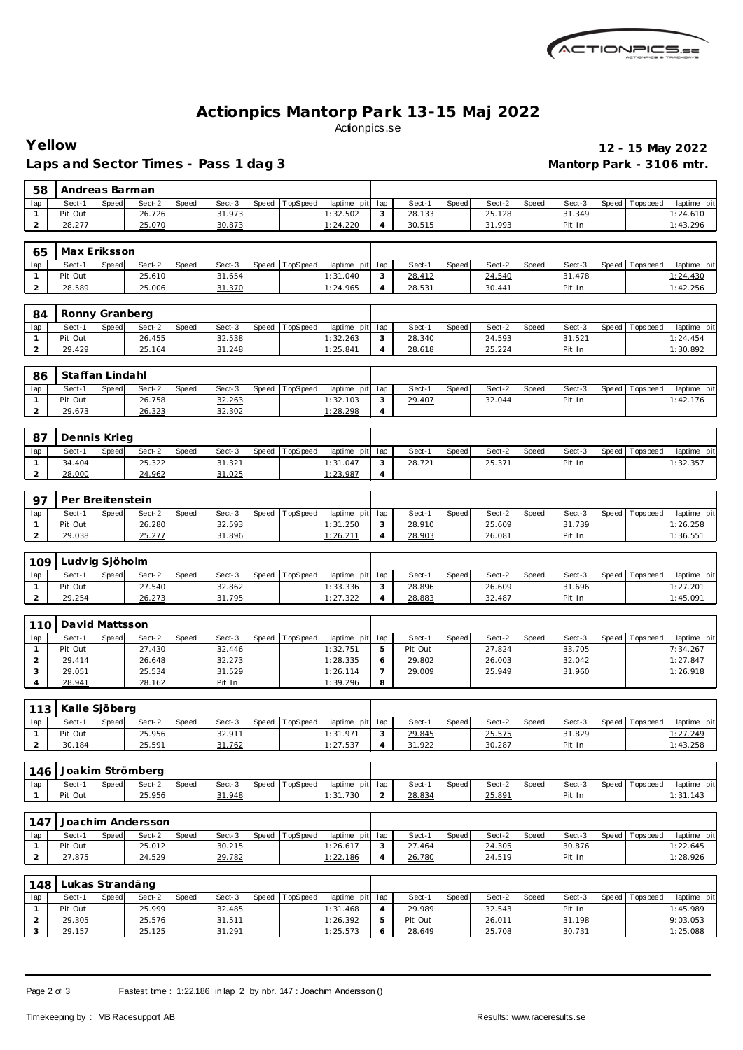

## **Actionpics Mantorp Park 13-15 Maj 2022** Actionpics.se

Laps and Sector Times - Pass 1 dag 3 **Mantorp Park - 3106 mtr.** 

# **Yellow 12 - 15 May 2022**

| 58                             | Andreas Barman        |              |                   |       |                  |       |          |                         |                |                   |       |                  |       |                  |       |                   |                         |
|--------------------------------|-----------------------|--------------|-------------------|-------|------------------|-------|----------|-------------------------|----------------|-------------------|-------|------------------|-------|------------------|-------|-------------------|-------------------------|
| lap                            | Sect-1                | <b>Speed</b> | Sect-2            | Speed | Sect-3           | Speed | TopSpeed | laptime pit             | lap            | Sect-1            | Speed | Sect-2           | Speed | Sect-3           | Speed | Tops peed         | laptime pit             |
| $\mathbf{1}$                   | Pit Out               |              | 26.726            |       | 31.973           |       |          | 1:32.502                | 3              | 28.133            |       | 25.128           |       | 31.349           |       |                   | 1:24.610                |
| 2                              | 28.277                |              | 25.070            |       | 30.873           |       |          | 1:24.220                | $\overline{4}$ | 30.515            |       | 31.993           |       | Pit In           |       |                   | 1:43.296                |
|                                | Max Eriksson<br>65    |              |                   |       |                  |       |          |                         |                |                   |       |                  |       |                  |       |                   |                         |
| lap                            | Sect-1                | Speed        | Sect-2            | Speed | Sect-3           | Speed | TopSpeed | laptime pit             | lap            | Sect-1            | Speed | Sect-2           | Speed | Sect-3           |       | Speed   Tops peed | laptime pit             |
| $\mathbf{1}$                   | Pit Out               |              | 25.610            |       | 31.654           |       |          | 1:31.040                | 3              | 28.412            |       | 24.540           |       | 31.478           |       |                   | 1:24.430                |
| $\overline{2}$                 | 28.589                |              | 25.006            |       | 31.370           |       |          | 1:24.965                | 4              | 28.531            |       | 30.441           |       | Pit In           |       |                   | 1:42.256                |
|                                |                       |              |                   |       |                  |       |          |                         |                |                   |       |                  |       |                  |       |                   |                         |
| 84                             | Ronny Granberg        |              |                   |       |                  |       |          |                         |                |                   |       |                  |       |                  |       |                   |                         |
| lap                            | Sect-1                | Speed        | Sect-2            | Speed | Sect-3           | Speed | TopSpeed | laptime pit             | lap            | Sect-1            | Speed | Sect-2           | Speed | Sect-3           |       | Speed   Tops peed | laptime pit             |
| $\mathbf{1}$                   | Pit Out               |              | 26.455            |       | 32.538           |       |          | 1:32.263                | 3              | 28.340            |       | 24.593           |       | 31.521           |       |                   | 1:24.454                |
| $\overline{2}$                 | 29.429                |              | 25.164            |       | 31.248           |       |          | 1:25.841                | $\overline{4}$ | 28.618            |       | 25.224           |       | Pit In           |       |                   | 1:30.892                |
|                                | Staffan Lindahl<br>86 |              |                   |       |                  |       |          |                         |                |                   |       |                  |       |                  |       |                   |                         |
|                                |                       |              |                   |       |                  |       |          |                         |                |                   |       |                  |       |                  |       |                   |                         |
| lap<br>$\mathbf{1}$            | Sect-1<br>Pit Out     | Speed        | Sect-2<br>26.758  | Speed | Sect-3<br>32.263 | Speed | TopSpeed | laptime pit<br>1:32.103 | lap<br>3       | Sect-1<br>29.407  | Speed | Sect-2<br>32.044 | Speed | Sect-3<br>Pit In | Speed | T ops pee d       | laptime pit<br>1:42.176 |
| $\overline{2}$                 | 29.673                |              | 26.323            |       | 32.302           |       |          | 1:28.298                | $\overline{4}$ |                   |       |                  |       |                  |       |                   |                         |
|                                |                       |              |                   |       |                  |       |          |                         |                |                   |       |                  |       |                  |       |                   |                         |
| 87                             | Dennis Krieg          |              |                   |       |                  |       |          |                         |                |                   |       |                  |       |                  |       |                   |                         |
| lap                            | Sect-1                | Speed        | Sect-2            | Speed | Sect-3           | Speed | TopSpeed | laptime pi              | lap            | Sect-1            | Speed | Sect-2           | Speed | Sect-3           | Speed | Tops peed         | laptime pit             |
| $\mathbf{1}$                   | 34.404                |              | 25.322            |       | 31.321           |       |          | 1:31.047                | 3              | 28.721            |       | 25.371           |       | Pit In           |       |                   | 1:32.357                |
| 2                              | 28.000                |              | 24.962            |       | 31.025           |       |          | 1:23.987                | 4              |                   |       |                  |       |                  |       |                   |                         |
|                                |                       |              |                   |       |                  |       |          |                         |                |                   |       |                  |       |                  |       |                   |                         |
| 97                             | Per Breitenstein      |              |                   |       |                  |       |          |                         |                |                   |       |                  |       |                  |       |                   |                         |
| lap<br>$\mathbf{1}$            | Sect-1<br>Pit Out     | Speed        | Sect-2<br>26.280  | Speed | Sect-3<br>32.593 | Speed | TopSpeed | laptime pit<br>1:31.250 | lap<br>3       | Sect-1<br>28.910  | Speed | Sect-2<br>25.609 | Speed | Sect-3<br>31.739 | Speed | Tops peed         | laptime pit<br>1:26.258 |
| 2                              | 29.038                |              | 25.277            |       | 31.896           |       |          | 1:26.211                | 4              | 28.903            |       | 26.081           |       | Pit In           |       |                   | 1:36.551                |
|                                |                       |              |                   |       |                  |       |          |                         |                |                   |       |                  |       |                  |       |                   |                         |
| 109                            | Ludvig Sjöholm        |              |                   |       |                  |       |          |                         |                |                   |       |                  |       |                  |       |                   |                         |
| lap                            | Sect-1                | Speed        | Sect-2            | Speed | Sect-3           | Speed | TopSpeed | laptime pit             | lap            | Sect-1            | Speed | Sect-2           | Speed | Sect-3           | Speed | Tops pee d        | laptime pit             |
| $\mathbf{1}$                   | Pit Out               |              | 27.540            |       | 32.862           |       |          | 1:33.336                | 3              | 28.896            |       | 26.609           |       | 31.696           |       |                   | 1:27.201                |
| $\overline{2}$                 | 29.254                |              | 26.273            |       | 31.795           |       |          | 1:27.322                | $\overline{4}$ | 28.883            |       | 32.487           |       | Pit In           |       |                   | 1:45.091                |
|                                |                       |              |                   |       |                  |       |          |                         |                |                   |       |                  |       |                  |       |                   |                         |
| 110                            | David Mattsson        |              |                   |       |                  |       |          |                         |                |                   |       |                  |       |                  |       |                   |                         |
| lap                            | Sect-1                | <b>Speed</b> | Sect-2            | Speed | Sect-3           | Speed | TopSpeed | laptime pit             | lap            | Sect-1            | Speed | Sect-2           | Speed | Sect-3           | Speed | Tops peed         | laptime pit<br>7:34.267 |
| $\mathbf{1}$<br>$\overline{2}$ | Pit Out<br>29.414     |              | 27.430<br>26.648  |       | 32.446<br>32.273 |       |          | 1:32.751<br>1:28.335    | 5<br>6         | Pit Out<br>29.802 |       | 27.824<br>26.003 |       | 33.705<br>32.042 |       |                   | 1:27.847                |
| 3                              | 29.051                |              | 25.534            |       | 31.529           |       |          | 1:26.114                | $\overline{7}$ | 29.009            |       | 25.949           |       | 31.960           |       |                   | 1:26.918                |
| 4                              | 28.941                |              | 28.162            |       | Pit In           |       |          | 1:39.296                | 8              |                   |       |                  |       |                  |       |                   |                         |
|                                |                       |              |                   |       |                  |       |          |                         |                |                   |       |                  |       |                  |       |                   |                         |
| 113                            | Kalle Sjöberg         |              |                   |       |                  |       |          |                         |                |                   |       |                  |       |                  |       |                   |                         |
| lap                            | Sect-1                | Speed        | Sect-2            | Speed | Sect-3           | Speed | TopSpeed | laptime pit             | lap            | Sect-1            | Speed | Sect-2           | Speed | Sect-3           | Speed | T ops pee d       | laptime pit             |
| $\mathbf{1}$                   | Pit Out               |              | 25.956            |       | 32.911           |       |          | 1:31.971                | 3              | 29.845            |       | 25.575           |       | 31.829           |       |                   | 1:27.249                |
| $\overline{2}$                 | 30.184                |              | 25.591            |       | 31.762           |       |          | 1:27.537                | 4              | 31.922            |       | 30.287           |       | Pit In           |       |                   | 1:43.258                |
|                                |                       |              | Joakim Strömberg  |       |                  |       |          |                         |                |                   |       |                  |       |                  |       |                   |                         |
| 146                            | Sect-1                | Speed        | Sect-2            | Speed | Sect-3           | Speed | TopSpeed | laptime pit             | lap            | Sect-1            | Speed | Sect-2           | Speed | Sect-3           |       | Speed Topspeed    | laptime pit             |
| lap<br>$\mathbf{1}$            | Pit Out               |              | 25.956            |       | 31.948           |       |          | 1:31.730                | $\overline{2}$ | 28.834            |       | 25.891           |       | Pit In           |       |                   | 1:31.143                |
|                                |                       |              |                   |       |                  |       |          |                         |                |                   |       |                  |       |                  |       |                   |                         |
| 147                            |                       |              | Joachim Andersson |       |                  |       |          |                         |                |                   |       |                  |       |                  |       |                   |                         |
| lap                            | Sect-1                | Speed        | Sect-2            | Speed | Sect-3           | Speed | TopSpeed | laptime pit             | lap            | Sect-1            | Speed | Sect-2           | Speed | Sect-3           |       | Speed Tops peed   | laptime pit             |
| $\mathbf{1}$                   | Pit Out               |              | 25.012            |       | 30.215           |       |          | 1:26.617                | 3              | 27.464            |       | 24.305           |       | 30.876           |       |                   | 1:22.645                |
| $\overline{a}$                 | 27.875                |              | 24.529            |       | 29.782           |       |          | 1:22.186                | 4              | 26.780            |       | 24.519           |       | Pit In           |       |                   | 1:28.926                |
|                                |                       |              |                   |       |                  |       |          |                         |                |                   |       |                  |       |                  |       |                   |                         |
| 148                            | Lukas Strandäng       |              |                   |       |                  |       |          |                         |                |                   |       |                  |       |                  |       |                   |                         |
| lap                            | Sect-1                | Speed        | Sect-2            | Speed | Sect-3           | Speed | TopSpeed | laptime pit             | lap            | Sect-1            | Speed | Sect-2           | Speed | Sect-3           | Speed | Tops peed         | laptime pit             |
| $\mathbf{1}$<br>$\overline{a}$ | Pit Out<br>29.305     |              | 25.999<br>25.576  |       | 32.485<br>31.511 |       |          | 1:31.468<br>1:26.392    | 4<br>5         | 29.989<br>Pit Out |       | 32.543<br>26.011 |       | Pit In<br>31.198 |       |                   | 1:45.989<br>9:03.053    |
| 3                              | 29.157                |              | 25.125            |       | 31.291           |       |          | 1:25.573                | 6              | 28.649            |       | 25.708           |       | 30.731           |       |                   | 1:25.088                |

Page 2 of 3 Fastest time : 1:22.186 in lap 2 by nbr. 147 : Joachim Andersson ()